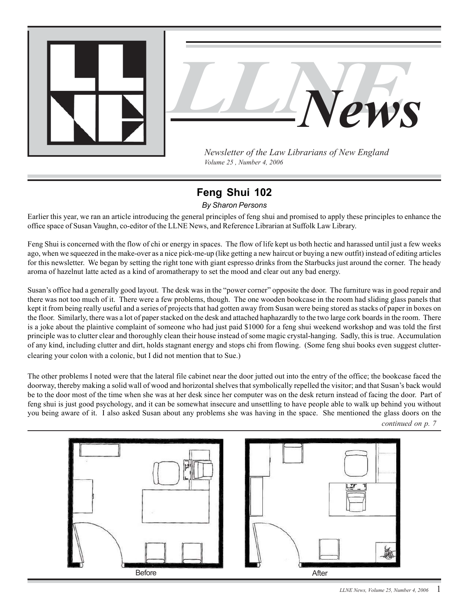<span id="page-0-0"></span>



*Newsletter of the Law Librarians of New England Volume 25 , Number 4, 2006*

# **Feng Shui 102**

*By Sharon Persons*

Earlier this year, we ran an article introducing the general principles of feng shui and promised to apply these principles to enhance the office space of Susan Vaughn, co-editor of the LLNE News, and Reference Librarian at Suffolk Law Library.

Feng Shui is concerned with the flow of chi or energy in spaces. The flow of life kept us both hectic and harassed until just a few weeks ago, when we squeezed in the make-over as a nice pick-me-up (like getting a new haircut or buying a new outfit) instead of editing articles for this newsletter. We began by setting the right tone with giant espresso drinks from the Starbucks just around the corner. The heady aroma of hazelnut latte acted as a kind of aromatherapy to set the mood and clear out any bad energy.

Susan's office had a generally good layout. The desk was in the "power corner" opposite the door. The furniture was in good repair and there was not too much of it. There were a few problems, though. The one wooden bookcase in the room had sliding glass panels that kept it from being really useful and a series of projects that had gotten away from Susan were being stored as stacks of paper in boxes on the floor. Similarly, there was a lot of paper stacked on the desk and attached haphazardly to the two large cork boards in the room. There is a joke about the plaintive complaint of someone who had just paid \$1000 for a feng shui weekend workshop and was told the first principle was to clutter clear and thoroughly clean their house instead of some magic crystal-hanging. Sadly, this is true. Accumulation of any kind, including clutter and dirt, holds stagnant energy and stops chi from flowing. (Some feng shui books even suggest clutterclearing your colon with a colonic, but I did not mention that to Sue.)

The other problems I noted were that the lateral file cabinet near the door jutted out into the entry of the office; the bookcase faced the doorway, thereby making a solid wall of wood and horizontal shelves that symbolically repelled the visitor; and that Susan's back would be to the door most of the time when she was at her desk since her computer was on the desk return instead of facing the door. Part of feng shui is just good psychology, and it can be somewhat insecure and unsettling to have people able to walk up behind you without you being aware of it. I also asked Susan about any problems she was having in the space. She mentioned the glass doors on the



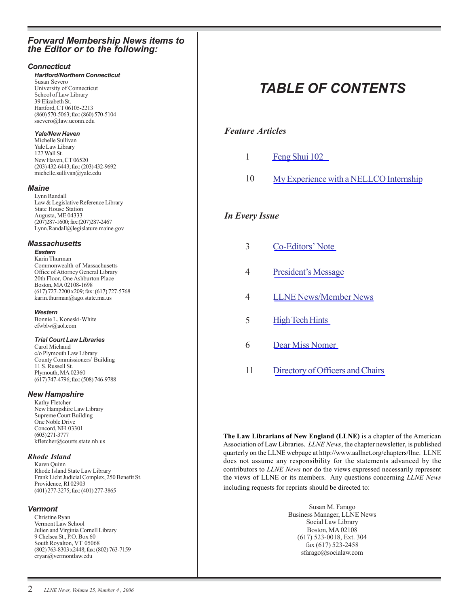## *Forward Membership News items to the Editor or to the following:*

#### *Connecticut*

#### *Hartford/Northern Connecticut* Susan Severo University of Connecticut School of Law Library 39 Elizabeth St. Hartford, CT 06105-2213

(860) 570-5063; fax: (860) 570-5104 ssevero@law.uconn.edu

#### *Yale/New Haven*

Michelle Sullivan Yale Law Library 127 Wall St. New Haven, CT 06520 (203) 432-6443; fax: (203) 432-9692 michelle.sullivan@yale.edu

#### *Maine*

Lynn Randall Law & Legislative Reference Library State House Station Augusta, ME 04333 (207)287-1600; fax:(207)287-2467 Lynn.Randall@legislature.maine.gov

#### *Massachusetts*

#### *Eastern*

Karin Thurman Commonwealth of Massachusetts Office of Attorney General Library 20th Floor, One Ashburton Place Boston, MA 02108-1698 (617) 727-2200 x209; fax: (617) 727-5768 karin.thurman@ago.state.ma.us

#### *Western*

Bonnie L. Koneski-White cfwblw@aol.com

#### *Trial Court Law Libraries*

Carol Michaud c/o Plymouth Law Library County Commissioners' Building 11 S. Russell St. Plymouth, MA 02360 (617) 747-4796; fax: (508) 746-9788

#### *New Hampshire*

Kathy Fletcher New Hampshire Law Library Supreme Court Building One Noble Drive Concord, NH 03301 (603) 271-3777 kfletcher@courts.state.nh.us

#### *Rhode Island*

Karen Quinn Rhode Island State Law Library Frank Licht Judicial Complex, 250 Benefit St. Providence, RI 02903 (401) 277-3275; fax: (401) 277-3865

#### *Vermont*

Christine Ryan Vermont Law School Julien and Virginia Cornell Library 9 Chelsea St., P.O. Box 60 South Royalton, VT 05068 (802) 763-8303 x2448; fax: (802) 763-7159 cryan@vermontlaw.edu

# *TABLE OF CONTENTS*

# *Feature Articles*

- 1 [Feng Shui 102](#page-0-0)
- 10 [My Experience with a NELLCO Internship](#page-9-0)

# *In Every Issue*

- 3 [Co-Editors' Note](#page-2-0)
- 4 [President's Message](#page-3-0)
- 4 [LLNE News/Member News](#page-3-0)
- 5 [High Tech Hints](#page-4-0)
- 6 [Dear Miss Nomer](#page-5-0)
- 11 [Directory of Officers and Chairs](#page-10-0)

**The Law Librarians of New England (LLNE)** is a chapter of the American Association of Law Libraries. *LLNE News*, the chapter newsletter, is published quarterly on the LLNE webpage at http://www.aallnet.org/chapters/llne. LLNE does not assume any responsibility for the statements advanced by the contributors to *LLNE News* nor do the views expressed necessarily represent the views of LLNE or its members. Any questions concerning *LLNE News* including requests for reprints should be directed to:

> Susan M. Farago Business Manager, LLNE News Social Law Library Boston, MA 02108 (617) 523-0018, Ext. 304 fax (617) 523-2458 sfarago@socialaw.com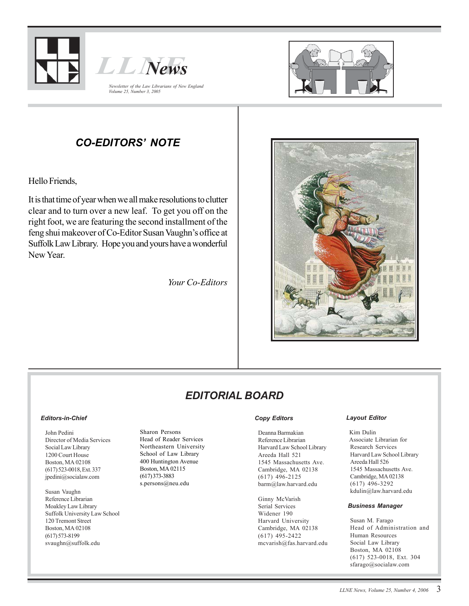<span id="page-2-0"></span>





# *CO-EDITORS' NOTE*

Hello Friends,

It is that time of year when we all make resolutions to clutter clear and to turn over a new leaf. To get you off on the right foot, we are featuring the second installment of the feng shui makeover of Co-Editor Susan Vaughn's office at Suffolk Law Library. Hope you and yours have a wonderful New Year.

*Your Co-Editors*



# *EDITORIAL BOARD*

#### *Editors-in-Chief*

John Pedini Director of Media Services Social Law Library 1200 Court House Boston, MA 02108 (617) 523-0018, Ext. 337 jpedini@socialaw.com

Susan Vaughn Reference Librarian Moakley Law Library Suffolk University Law School 120 Tremont Street Boston, MA 02108 (617) 573-8199 svaughn@suffolk.edu

Sharon Persons Head of Reader Services Northeastern University School of Law Library 400 Huntington Avenue Boston, MA 02115 (617) 373-3883 s.persons@neu.edu

#### *Copy Editors*

Deanna Barmakian Reference Librarian Harvard Law School Library Areeda Hall 521 1545 Massachusetts Ave. Cambridge, MA 02138 (617) 496-2125 barm@law.harvard.edu

Ginny McVarish Serial Services Widener 190 Harvard University Cambridge, MA 02138 (617) 495-2422 mcvarish@fas.harvard.edu

#### *Layout Editor*

Kim Dulin Associate Librarian for Research Services Harvard Law School Library Areeda Hall 526 1545 Massachusetts Ave. Cambridge, MA 02138 (617) 496-3292 kdulin@law.harvard.edu

#### *Business Manager*

Susan M. Farago Head of Administration and Human Resources Social Law Library Boston, MA 02108 (617) 523-0018, Ext. 304 sfarago@socialaw.com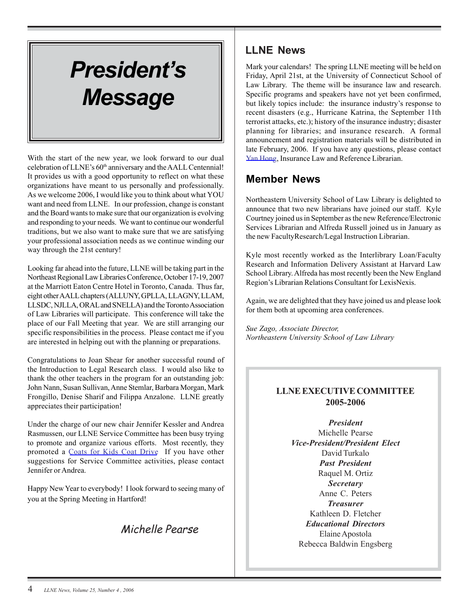# <span id="page-3-0"></span>*President's Message*

With the start of the new year, we look forward to our dual celebration of LLNE's 60<sup>th</sup> anniversary and the AALL Centennial! It provides us with a good opportunity to reflect on what these organizations have meant to us personally and professionally. As we welcome 2006, I would like you to think about what YOU want and need from LLNE. In our profession, change is constant and the Board wants to make sure that our organization is evolving and responding to your needs. We want to continue our wonderful traditions, but we also want to make sure that we are satisfying your professional association needs as we continue winding our way through the 21st century!

Looking far ahead into the future, LLNE will be taking part in the Northeast Regional Law Libraries Conference, October 17-19, 2007 at the Marriott Eaton Centre Hotel in Toronto, Canada. Thus far, eight other AALL chapters (ALLUNY, GPLLA, LLAGNY, LLAM, LLSDC, NJLLA, ORAL and SNELLA) and the Toronto Association of Law Libraries will participate. This conference will take the place of our Fall Meeting that year. We are still arranging our specific responsibilities in the process. Please contact me if you are interested in helping out with the planning or preparations.

Congratulations to Joan Shear for another successful round of the Introduction to Legal Research class. I would also like to thank the other teachers in the program for an outstanding job: John Nann, Susan Sullivan, Anne Stemlar, Barbara Morgan, Mark Frongillo, Denise Sharif and Filippa Anzalone. LLNE greatly appreciates their participation!

Under the charge of our new chair Jennifer Kessler and Andrea Rasmussen, our LLNE Service Committee has been busy trying to promote and organize various efforts. Most recently, they promoted a [Coats for Kids Coat Drive](http://www.thehome.org/site/content/get_involved/coats.asp) If you have other suggestions for Service Committee activities, please contact Jennifer or Andrea.

Happy New Year to everybody! I look forward to seeing many of you at the Spring Meeting in Hartford!

# Michelle Pearse

# **LLNE News**

Mark your calendars! The spring LLNE meeting will be held on Friday, April 21st, at the University of Connecticut School of Law Library. The theme will be insurance law and research. Specific programs and speakers have not yet been confirmed, but likely topics include: the insurance industry's response to recent disasters (e.g., Hurricane Katrina, the September 11th terrorist attacks, etc.); history of the insurance industry; disaster planning for libraries; and insurance research. A formal announcement and registration materials will be distributed in late February, 2006. If you have any questions, please contact [Yan Hong,](mailto:yan.hong@law.uconn.edu) Insurance Law and Reference Librarian.

# **Member News**

Northeastern University School of Law Library is delighted to announce that two new librarians have joined our staff. Kyle Courtney joined us in September as the new Reference/Electronic Services Librarian and Alfreda Russell joined us in January as the new FacultyResearch/Legal Instruction Librarian.

Kyle most recently worked as the Interlibrary Loan/Faculty Research and Information Delivery Assistant at Harvard Law School Library. Alfreda has most recently been the New England Region's Librarian Relations Consultant for LexisNexis.

Again, we are delighted that they have joined us and please look for them both at upcoming area conferences.

*Sue Zago, Associate Director, Northeastern University School of Law Library*

# **LLNE EXECUTIVE COMMITTEE 2005-2006**

*President* Michelle Pearse *Vice-President/President Elect* David Turkalo *Past President* Raquel M. Ortiz *Secretary* Anne C. Peters *Treasurer* Kathleen D. Fletcher *Educational Directors* Elaine Apostola Rebecca Baldwin Engsberg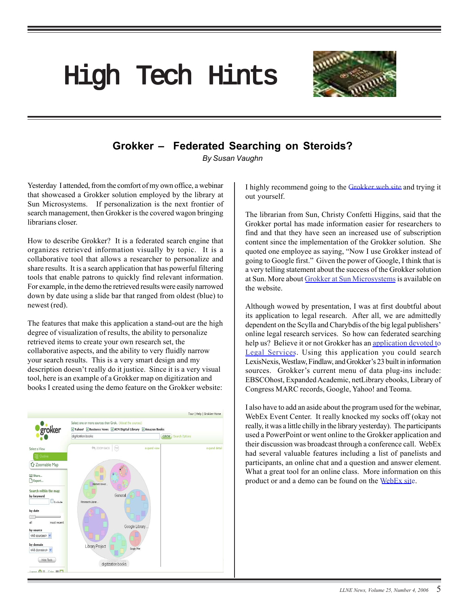# <span id="page-4-0"></span>High Tech Hints



# **Grokker – Federated Searching on Steroids?**

*By Susan Vaughn*

Yesterday I attended, from the comfort of my own office, a webinar that showcased a Grokker solution employed by the library at Sun Microsystems. If personalization is the next frontier of search management, then Grokker is the covered wagon bringing librarians closer.

How to describe Grokker? It is a federated search engine that organizes retrieved information visually by topic. It is a collaborative tool that allows a researcher to personalize and share results. It is a search application that has powerful filtering tools that enable patrons to quickly find relevant information. For example, in the demo the retrieved results were easily narrowed down by date using a slide bar that ranged from oldest (blue) to newest (red).

The features that make this application a stand-out are the high degree of visualization of results, the ability to personalize retrieved items to create your own research set, the collaborative aspects, and the ability to very fluidly narrow your search results. This is a very smart design and my description doesn't really do it justice. Since it is a very visual tool, here is an example of a Grokker map on digitization and books I created using the demo feature on the Grokker website:



I highly recommend going to th[e Grokker web site a](http://www.groxis.com/service/grokker/grokker.html.)nd trying it out yourself.

The librarian from Sun, Christy Confetti Higgins, said that the Grokker portal has made information easier for researchers to find and that they have seen an increased use of subscription content since the implementation of the Grokker solution. She quoted one employee as saying, "Now I use Grokker instead of going to Google first." Given the power of Google, I think that is a very telling statement about the success of the Grokker solution at Sun. More abou[t Grokker at Sun Microsystems is](http://www.groxis.com/grokker/pdfs/grokker_sun_casestudy.pdf) available on the website.

Although wowed by presentation, I was at first doubtful about its application to legal research. After all, we are admittedly dependent on the Scylla and Charybdis of the big legal publishers' online legal research services. So how can federated searching help us? Believe it or not Grokker has a[n application devoted to](http://www.groxis.com/service/grokker/enterprise.html) [Legal Services.](http://www.groxis.com/service/grokker/enterprise.html) Using this application you could search LexisNexis, Westlaw, Findlaw, and Grokker's 23 built in information sources. Grokker's current menu of data plug-ins include: EBSCOhost, Expanded Academic, netLibrary ebooks, Library of Congress MARC records, Google, Yahoo! and Teoma.

I also have to add an aside about the program used for the webinar, WebEx Event Center. It really knocked my socks off (okay not really, it was a little chilly in the library yesterday). The participants used a PowerPoint or went online to the Grokker application and their discussion was broadcast through a conference call. WebEx had several valuable features including a list of panelists and participants, an online chat and a question and answer element. What a great tool for an online class. More information on this product or and a demo can be found on th[e WebEx site.](http://www.webex.com/solutions/)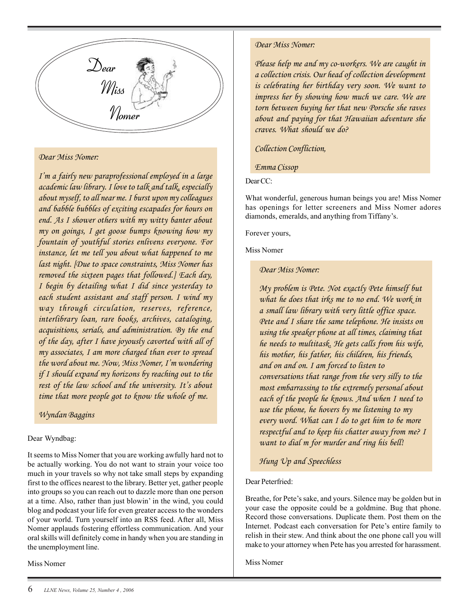<span id="page-5-0"></span>

#### *Dear Miss Nomer:*

*I'm a fairly new paraprofessional employed in a large academic law library. I love to talk and talk, especially about myself, to all near me. I burst upon my colleagues and babble bubbles of exciting escapades for hours on end. As I shower others with my witty banter about my on goings, I get goose bumps knowing how my fountain of youthful stories enlivens everyone. For instance, let me tell you about what happened to me last night. [Due to space constraints, Miss Nomer has removed the sixteen pages that followed.] Each day, I begin by detailing what I did since yesterday to each student assistant and staff person. I wind my way through circulation, reserves, reference, interlibrary loan, rare books, archives, cataloging, acquisitions, serials, and administration. By the end of the day, after I have joyously cavorted with all of my associates, I am more charged than ever to spread the word about me. Now, Miss Nomer, I'm wondering if I should expand my horizons by reaching out to the rest of the law school and the university. It's about time that more people got to know the whole of me.*

#### *Wyndan Baggins*

#### Dear Wyndbag:

It seems to Miss Nomer that you are working awfully hard not to be actually working. You do not want to strain your voice too much in your travels so why not take small steps by expanding first to the offices nearest to the library. Better yet, gather people into groups so you can reach out to dazzle more than one person at a time. Also, rather than just blowin' in the wind, you could blog and podcast your life for even greater access to the wonders of your world. Turn yourself into an RSS feed. After all, Miss Nomer applauds fostering effortless communication. And your oral skills will definitely come in handy when you are standing in the unemployment line.

Miss Nomer

#### *Dear Miss Nomer:*

*Please help me and my co-workers. We are caught in a collection crisis. Our head of collection development is celebrating her birthday very soon. We want to impress her by showing how much we care. We are torn between buying her that new Porsche she raves about and paying for that Hawaiian adventure she craves. What should we do?*

*Collection Confliction,*

*Emma Cissop*

Dear CC:

What wonderful, generous human beings you are! Miss Nomer has openings for letter screeners and Miss Nomer adores diamonds, emeralds, and anything from Tiffany's.

Forever yours,

Miss Nomer

*Dear Miss Nomer:*

*My problem is Pete. Not exactly Pete himself but what he does that irks me to no end. We work in a small law library with very little office space. Pete and I share the same telephone. He insists on using the speaker phone at all times, claiming that he needs to multitask. He gets calls from his wife, his mother, his father, his children, his friends, and on and on. I am forced to listen to conversations that range from the very silly to the most embarrassing to the extremely personal about each of the people he knows. And when I need to use the phone, he hovers by me listening to my every word. What can I do to get him to be more respectful and to keep his chatter away from me? I want to dial m for murder and ring his bell!*

*Hung Up and Speechless*

#### Dear Peterfried:

Breathe, for Pete's sake, and yours. Silence may be golden but in your case the opposite could be a goldmine. Bug that phone. Record those conversations. Duplicate them. Post them on the Internet. Podcast each conversation for Pete's entire family to relish in their stew. And think about the one phone call you will make to your attorney when Pete has you arrested for harassment.

Miss Nomer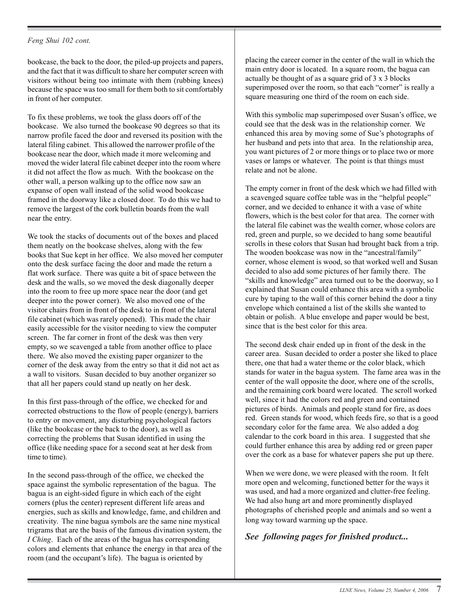#### *Feng Shui 102 cont.*

bookcase, the back to the door, the piled-up projects and papers, and the fact that it was difficult to share her computer screen with visitors without being too intimate with them (rubbing knees) because the space was too small for them both to sit comfortably in front of her computer.

To fix these problems, we took the glass doors off of the bookcase. We also turned the bookcase 90 degrees so that its narrow profile faced the door and reversed its position with the lateral filing cabinet. This allowed the narrower profile of the bookcase near the door, which made it more welcoming and moved the wider lateral file cabinet deeper into the room where it did not affect the flow as much. With the bookcase on the other wall, a person walking up to the office now saw an expanse of open wall instead of the solid wood bookcase framed in the doorway like a closed door. To do this we had to remove the largest of the cork bulletin boards from the wall near the entry.

We took the stacks of documents out of the boxes and placed them neatly on the bookcase shelves, along with the few books that Sue kept in her office. We also moved her computer onto the desk surface facing the door and made the return a flat work surface. There was quite a bit of space between the desk and the walls, so we moved the desk diagonally deeper into the room to free up more space near the door (and get deeper into the power corner). We also moved one of the visitor chairs from in front of the desk to in front of the lateral file cabinet (which was rarely opened). This made the chair easily accessible for the visitor needing to view the computer screen. The far corner in front of the desk was then very empty, so we scavenged a table from another office to place there. We also moved the existing paper organizer to the corner of the desk away from the entry so that it did not act as a wall to visitors. Susan decided to buy another organizer so that all her papers could stand up neatly on her desk.

In this first pass-through of the office, we checked for and corrected obstructions to the flow of people (energy), barriers to entry or movement, any disturbing psychological factors (like the bookcase or the back to the door), as well as correcting the problems that Susan identified in using the office (like needing space for a second seat at her desk from time to time).

In the second pass-through of the office, we checked the space against the symbolic representation of the bagua. The bagua is an eight-sided figure in which each of the eight corners (plus the center) represent different life areas and energies, such as skills and knowledge, fame, and children and creativity. The nine bagua symbols are the same nine mystical trigrams that are the basis of the famous divination system, the *I Ching*. Each of the areas of the bagua has corresponding colors and elements that enhance the energy in that area of the room (and the occupant's life). The bagua is oriented by

placing the career corner in the center of the wall in which the main entry door is located. In a square room, the bagua can actually be thought of as a square grid of 3 x 3 blocks superimposed over the room, so that each "corner" is really a square measuring one third of the room on each side.

With this symbolic map superimposed over Susan's office, we could see that the desk was in the relationship corner. We enhanced this area by moving some of Sue's photographs of her husband and pets into that area. In the relationship area, you want pictures of 2 or more things or to place two or more vases or lamps or whatever. The point is that things must relate and not be alone.

The empty corner in front of the desk which we had filled with a scavenged square coffee table was in the "helpful people" corner, and we decided to enhance it with a vase of white flowers, which is the best color for that area. The corner with the lateral file cabinet was the wealth corner, whose colors are red, green and purple, so we decided to hang some beautiful scrolls in these colors that Susan had brought back from a trip. The wooden bookcase was now in the "ancestral/family" corner, whose element is wood, so that worked well and Susan decided to also add some pictures of her family there. The "skills and knowledge" area turned out to be the doorway, so I explained that Susan could enhance this area with a symbolic cure by taping to the wall of this corner behind the door a tiny envelope which contained a list of the skills she wanted to obtain or polish. A blue envelope and paper would be best, since that is the best color for this area.

The second desk chair ended up in front of the desk in the career area. Susan decided to order a poster she liked to place there, one that had a water theme or the color black, which stands for water in the bagua system. The fame area was in the center of the wall opposite the door, where one of the scrolls, and the remaining cork board were located. The scroll worked well, since it had the colors red and green and contained pictures of birds. Animals and people stand for fire, as does red. Green stands for wood, which feeds fire, so that is a good secondary color for the fame area. We also added a dog calendar to the cork board in this area. I suggested that she could further enhance this area by adding red or green paper over the cork as a base for whatever papers she put up there.

When we were done, we were pleased with the room. It felt more open and welcoming, functioned better for the ways it was used, and had a more organized and clutter-free feeling. We had also hung art and more prominently displayed photographs of cherished people and animals and so went a long way toward warming up the space.

*See following pages for finished product...*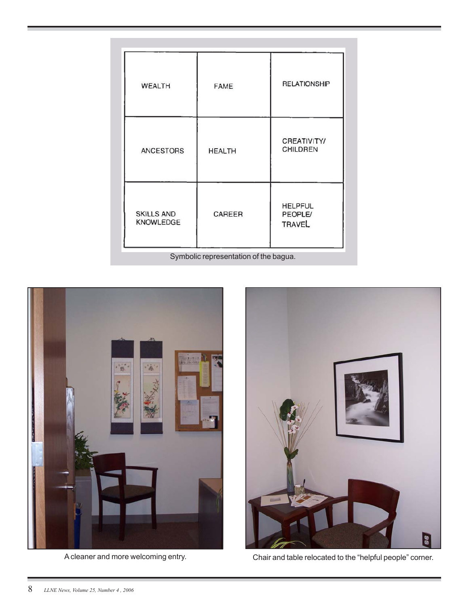| <b>WEALTH</b>                         | <b>FAME</b>   | <b>RELATIONSHIP</b>                               |
|---------------------------------------|---------------|---------------------------------------------------|
| <b>ANCESTORS</b>                      | <b>HEALTH</b> | <b>CREATIVITY/</b><br><b>CHILDREN</b>             |
| <b>SKILLS AND</b><br><b>KNOWLEDGE</b> | CAREER        | <b>HELPFUL</b><br><b>PEOPLE/</b><br><b>TRAVEL</b> |
| Symbolic representation of the bagua. |               |                                                   |





A cleaner and more welcoming entry. Chair and table relocated to the "helpful people" corner.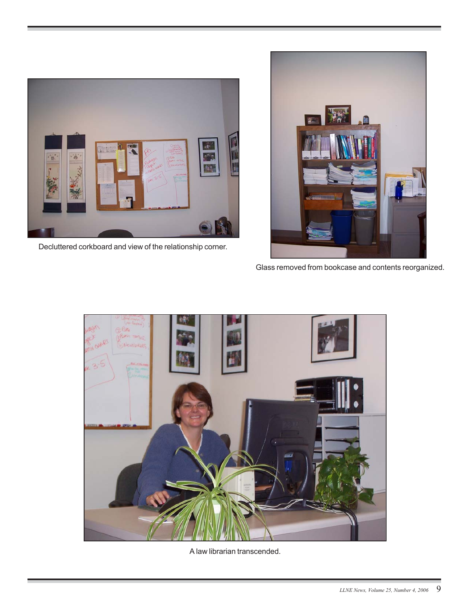

Decluttered corkboard and view of the relationship corner.



Glass removed from bookcase and contents reorganized.



A law librarian transcended.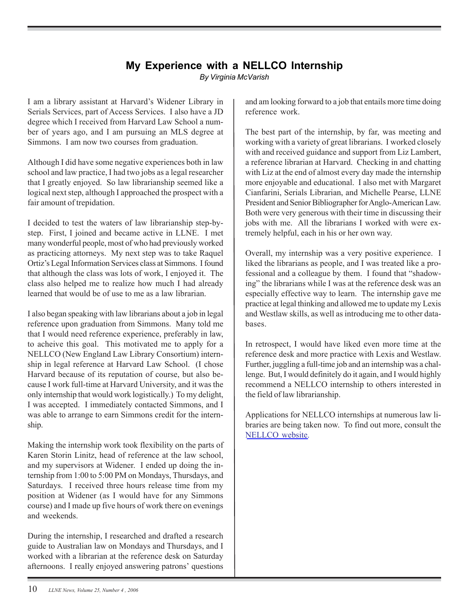# **My Experience with a NELLCO Internship**

*By Virginia McVarish*

<span id="page-9-0"></span>I am a library assistant at Harvard's Widener Library in Serials Services, part of Access Services. I also have a JD degree which I received from Harvard Law School a number of years ago, and I am pursuing an MLS degree at Simmons. I am now two courses from graduation.

Although I did have some negative experiences both in law school and law practice, I had two jobs as a legal researcher that I greatly enjoyed. So law librarianship seemed like a logical next step, although I approached the prospect with a fair amount of trepidation.

I decided to test the waters of law librarianship step-bystep. First, I joined and became active in LLNE. I met many wonderful people, most of who had previously worked as practicing attorneys. My next step was to take Raquel Ortiz's Legal Information Services class at Simmons. I found that although the class was lots of work, I enjoyed it. The class also helped me to realize how much I had already learned that would be of use to me as a law librarian.

I also began speaking with law librarians about a job in legal reference upon graduation from Simmons. Many told me that I would need reference experience, preferably in law, to acheive this goal. This motivated me to apply for a NELLCO (New England Law Library Consortium) internship in legal reference at Harvard Law School. (I chose Harvard because of its reputation of course, but also because I work full-time at Harvard University, and it was the only internship that would work logistically.) To my delight, I was accepted. I immediately contacted Simmons, and I was able to arrange to earn Simmons credit for the internship.

Making the internship work took flexibility on the parts of Karen Storin Linitz, head of reference at the law school, and my supervisors at Widener. I ended up doing the internship from 1:00 to 5:00 PM on Mondays, Thursdays, and Saturdays. I received three hours release time from my position at Widener (as I would have for any Simmons course) and I made up five hours of work there on evenings and weekends.

During the internship, I researched and drafted a research guide to Australian law on Mondays and Thursdays, and I worked with a librarian at the reference desk on Saturday afternoons. I really enjoyed answering patrons' questions

and am looking forward to a job that entails more time doing reference work.

The best part of the internship, by far, was meeting and working with a variety of great librarians. I worked closely with and received guidance and support from Liz Lambert, a reference librarian at Harvard. Checking in and chatting with Liz at the end of almost every day made the internship more enjoyable and educational. I also met with Margaret Cianfarini, Serials Librarian, and Michelle Pearse, LLNE President and Senior Bibliographer for Anglo-American Law. Both were very generous with their time in discussing their jobs with me. All the librarians I worked with were extremely helpful, each in his or her own way.

Overall, my internship was a very positive experience. I liked the librarians as people, and I was treated like a professional and a colleague by them. I found that "shadowing" the librarians while I was at the reference desk was an especially effective way to learn. The internship gave me practice at legal thinking and allowed me to update my Lexis and Westlaw skills, as well as introducing me to other databases.

In retrospect, I would have liked even more time at the reference desk and more practice with Lexis and Westlaw. Further, juggling a full-time job and an internship was a challenge. But, I would definitely do it again, and I would highly recommend a NELLCO internship to others interested in the field of law librarianship.

Applications for NELLCO internships at numerous law libraries are being taken now. To find out more, consult the [NELLCO website.](http://www.nellco.org/)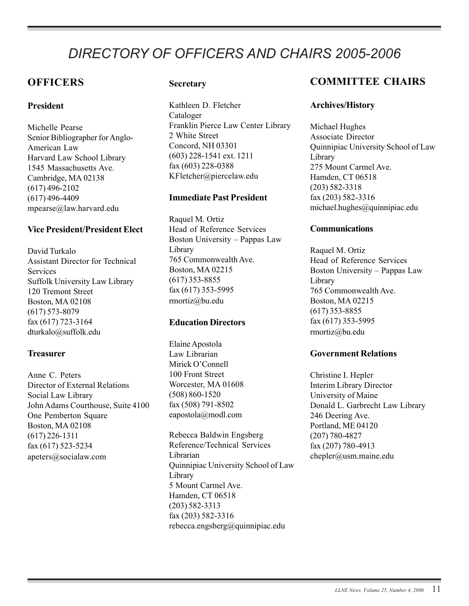# <span id="page-10-0"></span>*DIRECTORY OF OFFICERS AND CHAIRS 2005-2006*

# **OFFICERS**

## **President**

Michelle Pearse Senior Bibliographer for Anglo-American Law Harvard Law School Library 1545 Massachusetts Ave. Cambridge, MA 02138 (617) 496-2102 (617) 496-4409 mpearse@law.harvard.edu

## **Vice President/President Elect**

David Turkalo Assistant Director for Technical Services Suffolk University Law Library 120 Tremont Street Boston, MA 02108 (617) 573-8079 fax (617) 723-3164 dturkalo@suffolk.edu

## **Treasurer**

Anne C. Peters Director of External Relations Social Law Library John Adams Courthouse, Suite 4100 One Pemberton Square Boston, MA 02108 (617) 226-1311 fax (617) 523-5234 apeters@socialaw.com

## **Secretary**

Kathleen D. Fletcher Cataloger Franklin Pierce Law Center Library 2 White Street Concord, NH 03301 (603) 228-1541 ext. 1211 fax (603) 228-0388 KFletcher@piercelaw.edu

## **Immediate Past President**

Raquel M. Ortiz Head of Reference Services Boston University – Pappas Law Library 765 Commonwealth Ave. Boston, MA 02215 (617) 353-8855 fax (617) 353-5995 rmortiz@bu.edu

## **Education Directors**

Elaine Apostola Law Librarian Mirick O'Connell 100 Front Street Worcester, MA 01608 (508) 860-1520 fax (508) 791-8502 eapostola@modl.com

Rebecca Baldwin Engsberg Reference/Technical Services Librarian Quinnipiac University School of Law Library 5 Mount Carmel Ave. Hamden, CT 06518 (203) 582-3313 fax (203) 582-3316 rebecca.engsberg@quinnipiac.edu

# **COMMITTEE CHAIRS**

### **Archives/History**

Michael Hughes Associate Director Quinnipiac University School of Law Library 275 Mount Carmel Ave. Hamden, CT 06518 (203) 582-3318 fax (203) 582-3316 michael.hughes@quinnipiac.edu

#### **Communications**

Raquel M. Ortiz Head of Reference Services Boston University – Pappas Law Library 765 Commonwealth Ave. Boston, MA 02215 (617) 353-8855 fax (617) 353-5995 rmortiz@bu.edu

#### **Government Relations**

Christine I. Hepler Interim Library Director University of Maine Donald L. Garbrecht Law Library 246 Deering Ave. Portland, ME 04120 (207) 780-4827 fax (207) 780-4913 chepler@usm.maine.edu